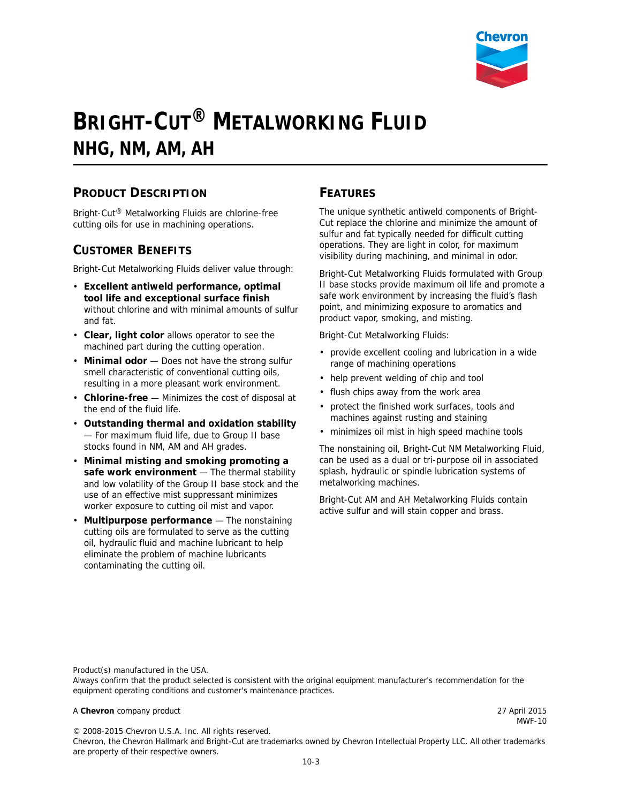

# **BRIGHT-CUT® METALWORKING FLUID NHG, NM, AM, AH**

## **PRODUCT DESCRIPTION**

Bright-Cut® Metalworking Fluids are chlorine-free cutting oils for use in machining operations.

## **CUSTOMER BENEFITS**

Bright-Cut Metalworking Fluids deliver value through:

- **Excellent antiweld performance, optimal tool life and exceptional surface finish**  without chlorine and with minimal amounts of sulfur and fat.
- **Clear, light color** allows operator to see the machined part during the cutting operation.
- **Minimal odor** Does not have the strong sulfur smell characteristic of conventional cutting oils, resulting in a more pleasant work environment.
- **Chlorine-free** Minimizes the cost of disposal at the end of the fluid life.
- **Outstanding thermal and oxidation stability** — For maximum fluid life, due to Group II base stocks found in NM, AM and AH grades.
- **Minimal misting and smoking promoting a safe work environment** — The thermal stability and low volatility of the Group II base stock and the use of an effective mist suppressant minimizes worker exposure to cutting oil mist and vapor.
- **Multipurpose performance** The nonstaining cutting oils are formulated to serve as the cutting oil, hydraulic fluid and machine lubricant to help eliminate the problem of machine lubricants contaminating the cutting oil.

## **FEATURES**

The unique synthetic antiweld components of Bright-Cut replace the chlorine and minimize the amount of sulfur and fat typically needed for difficult cutting operations. They are light in color, for maximum visibility during machining, and minimal in odor.

Bright-Cut Metalworking Fluids formulated with Group II base stocks provide maximum oil life and promote a safe work environment by increasing the fluid's flash point, and minimizing exposure to aromatics and product vapor, smoking, and misting.

Bright-Cut Metalworking Fluids:

- provide excellent cooling and lubrication in a wide range of machining operations
- help prevent welding of chip and tool
- flush chips away from the work area
- protect the finished work surfaces, tools and machines against rusting and staining
- minimizes oil mist in high speed machine tools

The nonstaining oil, Bright-Cut NM Metalworking Fluid, can be used as a dual or tri-purpose oil in associated splash, hydraulic or spindle lubrication systems of metalworking machines.

Bright-Cut AM and AH Metalworking Fluids contain active sulfur and will stain copper and brass.

Product(s) manufactured in the USA.

Always confirm that the product selected is consistent with the original equipment manufacturer's recommendation for the equipment operating conditions and customer's maintenance practices.

#### A **Chevron** company product 27 April 2015

MWF-10

© 2008-2015 Chevron U.S.A. Inc. All rights reserved.

Chevron, the Chevron Hallmark and Bright-Cut are trademarks owned by Chevron Intellectual Property LLC. All other trademarks are property of their respective owners.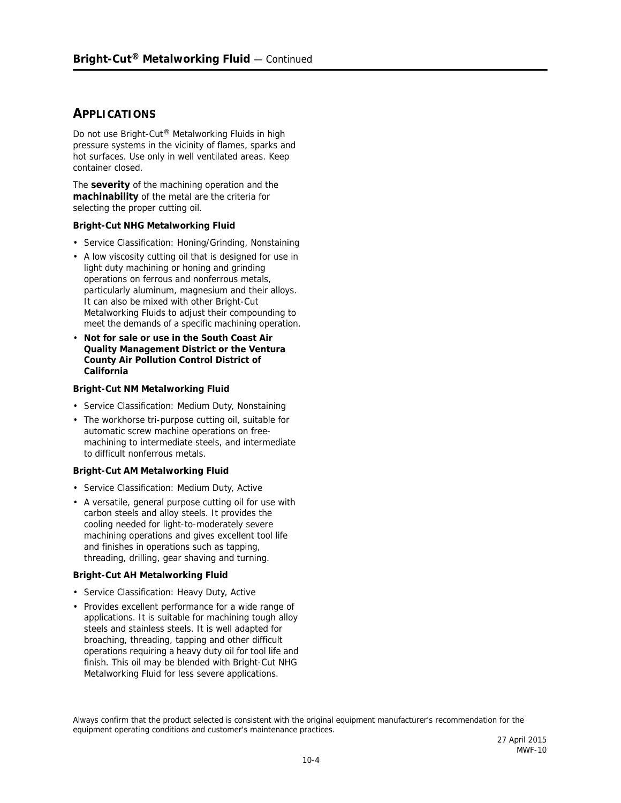### **APPLICATIONS**

Do not use Bright-Cut® Metalworking Fluids in high pressure systems in the vicinity of flames, sparks and hot surfaces. Use only in well ventilated areas. Keep container closed.

The **severity** of the machining operation and the **machinability** of the metal are the criteria for selecting the proper cutting oil.

#### **Bright-Cut NHG Metalworking Fluid**

- Service Classification: Honing/Grinding, Nonstaining
- A low viscosity cutting oil that is designed for use in light duty machining or honing and grinding operations on ferrous and nonferrous metals, particularly aluminum, magnesium and their alloys. It can also be mixed with other Bright-Cut Metalworking Fluids to adjust their compounding to meet the demands of a specific machining operation.
- **Not for sale or use in the South Coast Air Quality Management District or the Ventura County Air Pollution Control District of California**

#### **Bright-Cut NM Metalworking Fluid**

- Service Classification: Medium Duty, Nonstaining
- The workhorse tri-purpose cutting oil, suitable for automatic screw machine operations on freemachining to intermediate steels, and intermediate to difficult nonferrous metals.

#### **Bright-Cut AM Metalworking Fluid**

- Service Classification: Medium Duty, Active
- A versatile, general purpose cutting oil for use with carbon steels and alloy steels. It provides the cooling needed for light-to-moderately severe machining operations and gives excellent tool life and finishes in operations such as tapping, threading, drilling, gear shaving and turning.

#### **Bright-Cut AH Metalworking Fluid**

- Service Classification: Heavy Duty, Active
- Provides excellent performance for a wide range of applications. It is suitable for machining tough alloy steels and stainless steels. It is well adapted for broaching, threading, tapping and other difficult operations requiring a heavy duty oil for tool life and finish. This oil may be blended with Bright-Cut NHG Metalworking Fluid for less severe applications.

Always confirm that the product selected is consistent with the original equipment manufacturer's recommendation for the equipment operating conditions and customer's maintenance practices.